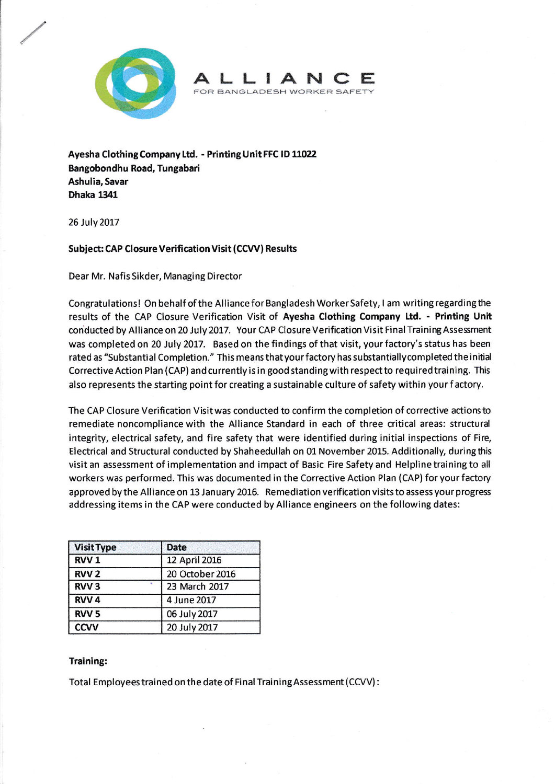

**IANC** FOR BANGLADESH WORKER SAFETY

Ayesha Clothing Company Ltd. - Printing Unit FFC lD 11021 Bangobondhu Road, Tungabari Ashulia, Savar Dhake 1341

26 July 2017

## Subject: CAP Closure Verification Visit (CCVV) Results

Dear Mr. Nafis Sikder, Managing Director

Congratulations! On behalf of the Alliance for Bangladesh Worker Safety, I am writing regarding the results of the CAP Closure Verification Visit of Ayesha Clothing company Ltd. - Printing Unit conducted by Alliance on 20 July 2017. Your CAP Closure Verification Visit Final Training Assessment was completed on 20 July 2017. Based on the findings of that visit, your factory's status has been rated as "Substantial Completion." This means that your factory has substantiallycompleted the initjal Corrective Action Plan (CAP) and currently is in good standing with respect to required training. This also represents the starting point for creating a sustainable culture of safety within your f actory.

The CAP Closure Verification Visitwas conducted to confirm the completion of corrective actionsto remediate noncompliance with the Alliance Standard in each of three critical areas: structurd integrity, electrical safety, and fire safety that were identified during initial inspections of Fire. Electrical and Structural conducted by Shaheedullah on 01 November 2015. Additionally, duringthis visit an assessment of implementation and impact of Basic Fire Safety and Helpline training to all workers was performed. This was documented in the Corrective Action Plan (CAP) for your factory approved by the Alliance on 13 January 2015. Remediation verification visits to assess your progress addressing items in the CAP were conducted by Alliance engineers on the following dates:

| <b>Visit Type</b>      | <b>Date</b>     |
|------------------------|-----------------|
| RVV <sub>1</sub>       | 12 April 2016   |
| <b>RVV<sub>2</sub></b> | 20 October 2016 |
| RVV <sub>3</sub>       | 23 March 2017   |
| RVV <sub>4</sub>       | 4 June 2017     |
| RVV <sub>5</sub>       | 06 July 2017    |
| <b>CCVV</b>            | 20 July 2017    |

## Training:

Total Employees trained on the date of Final Training Assessment (CCVV):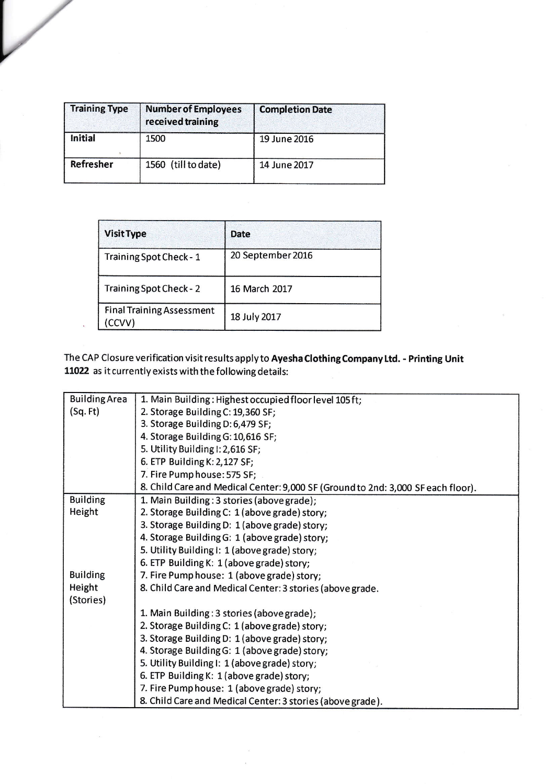| <b>Training Type</b> | <b>Number of Employees</b><br>received training | <b>Completion Date</b> |
|----------------------|-------------------------------------------------|------------------------|
| Initial              | 1500                                            | 19 June 2016           |
| Refresher            | 1560 (till to date)                             | 14 June 2017           |

V

 $\bar{\Lambda}$ 

| <b>Visit Type</b>                         | <b>Date</b>       |
|-------------------------------------------|-------------------|
| Training Spot Check - 1                   | 20 September 2016 |
| Training Spot Check - 2                   | 16 March 2017     |
| <b>Final Training Assessment</b><br>CCVV) | 18 July 2017      |

The CAP Closure verification visit results apply to Ayesha Clothing Company Ltd. - Printing Unit 11022 as it currently exists with the following details:

| <b>Building Area</b> | 1. Main Building: Highest occupied floor level 105ft;                            |  |  |
|----------------------|----------------------------------------------------------------------------------|--|--|
| (Sq. Ft)             | 2. Storage Building C: 19,360 SF;                                                |  |  |
|                      | 3. Storage Building D: 6,479 SF;                                                 |  |  |
|                      | 4. Storage Building G: 10,616 SF;                                                |  |  |
|                      | 5. Utility Building I: 2,616 SF;                                                 |  |  |
|                      | 6. ETP Building K: 2,127 SF;                                                     |  |  |
|                      | 7. Fire Pump house: 575 SF;                                                      |  |  |
|                      | 8. Child Care and Medical Center: 9,000 SF (Ground to 2nd: 3,000 SF each floor). |  |  |
| <b>Building</b>      | 1. Main Building: 3 stories (above grade);                                       |  |  |
| Height               | 2. Storage Building C: 1 (above grade) story;                                    |  |  |
|                      | 3. Storage Building D: 1 (above grade) story;                                    |  |  |
|                      | 4. Storage Building G: 1 (above grade) story;                                    |  |  |
|                      | 5. Utility Building I: 1 (above grade) story;                                    |  |  |
|                      | 6. ETP Building K: 1 (above grade) story;                                        |  |  |
| <b>Building</b>      | 7. Fire Pump house: 1 (above grade) story;                                       |  |  |
| Height               | 8. Child Care and Medical Center: 3 stories (above grade.                        |  |  |
| (Stories)            |                                                                                  |  |  |
|                      | 1. Main Building: 3 stories (above grade);                                       |  |  |
|                      | 2. Storage Building C: 1 (above grade) story;                                    |  |  |
|                      | 3. Storage Building D: 1 (above grade) story;                                    |  |  |
|                      | 4. Storage Building G: 1 (above grade) story;                                    |  |  |
|                      | 5. Utility Building I: 1 (above grade) story;                                    |  |  |
|                      | 6. ETP Building K: 1 (above grade) story;                                        |  |  |
|                      | 7. Fire Pump house: 1 (above grade) story;                                       |  |  |
|                      | 8. Child Care and Medical Center: 3 stories (above grade).                       |  |  |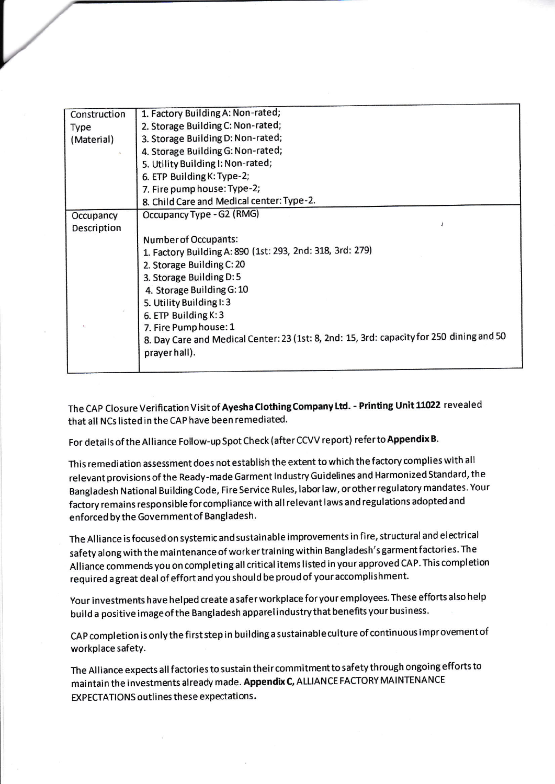| Construction | 1. Factory Building A: Non-rated;                                                        |
|--------------|------------------------------------------------------------------------------------------|
| Type         | 2. Storage Building C: Non-rated;                                                        |
| (Material)   | 3. Storage Building D: Non-rated;                                                        |
|              | 4. Storage Building G: Non-rated;                                                        |
|              | 5. Utility Building I: Non-rated;                                                        |
|              | 6. ETP Building K: Type-2;                                                               |
|              | 7. Fire pump house: Type-2;                                                              |
|              | 8. Child Care and Medical center: Type-2.                                                |
| Occupancy    | Occupancy Type - G2 (RMG)                                                                |
| Description  |                                                                                          |
|              | Number of Occupants:                                                                     |
|              | 1. Factory Building A: 890 (1st: 293, 2nd: 318, 3rd: 279)                                |
|              | 2. Storage Building C: 20                                                                |
|              | 3. Storage Building D: 5                                                                 |
|              | 4. Storage Building G: 10                                                                |
|              | 5. Utility Building I: 3                                                                 |
|              | 6. ETP Building K: 3                                                                     |
|              | 7. Fire Pump house: 1                                                                    |
|              | 8. Day Care and Medical Center: 23 (1st: 8, 2nd: 15, 3rd: capacity for 250 dining and 50 |
|              | prayer hall).                                                                            |
|              |                                                                                          |

The CAP Closure Verification Visit of Ayesha Clothing Company Ltd. - Printing Unit 11022 revealed that all Ncs listed in the cAP have been remediated.

For details of the Alliance Follow-up Spot Check (after CCVV report) refer to Appendix B.

This remediation assessment does not establish the extent to which the factory complies with all relevant provisions ofthe Ready-made Garment lndustry Guidelines and Harmonized Standard, the Bangladesh National Building Code, Fire Service Rules, laborlaw, or other regulatory mandates. Your factory remains responsible forcompliance with all relevant laws and regulations adopted and enforced by the Government of Bangladesh.

The Alliance is focused on systemic and sustainable improvements in fire, structural and electrical safety along with the maintenance of worker training within Bangladesh's garment factories. The Alliance commends you on completing all critical items listed in your approved CAP. This completion required agreat deal of effort and you should be proud of your accomplishment.

Your investments have helped create asaferworkplace foryour employees. These efforts also help build a positive imageof the Bangladesh apparelindustrythat benefits your business.

CAP completion is only the first step in building a sustainable culture of continuous improvement of workplace safety.

The Alliance expects all factories to sustain their commitment to safety through ongoing efforts to maintain the investments already made. Appendix c, ALLIANCE FACTORY MAINTENANCE EXPECTATIONS outlines these expectations.